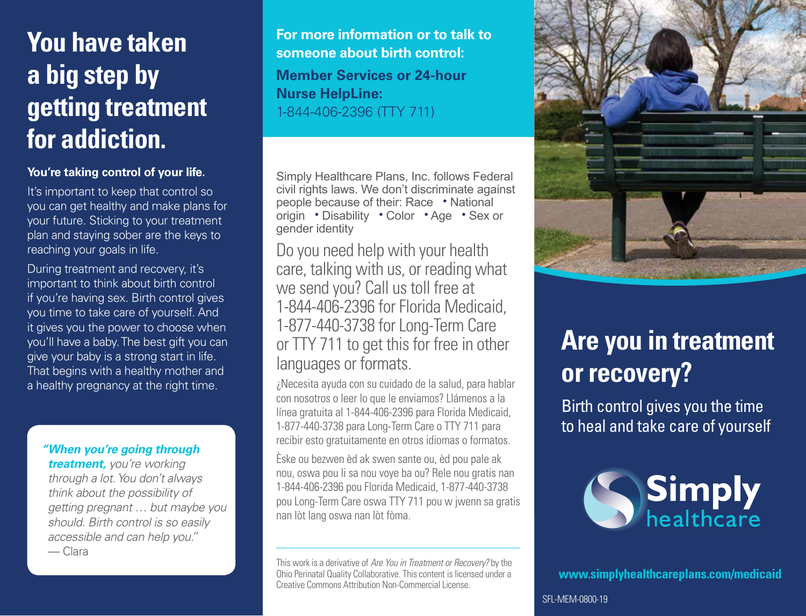# **You have taken a big step by getting treatment for addiction.**

#### **You're taking control of your life.**

It's important to keep that control so you can get healthy and make plans for your future. Sticking to your treatment plan and staying sober are the keys to reaching your goals in life.

During treatment and recovery, it's important to think about birth control if you're having sex. Birth control gives you time to take care of yourself. And it gives you the power to choose when you'll have a baby. The best gift you can give your baby is a strong start in life. That begins with a healthy mother and a healthy pregnancy at the right time.

#### *"When you're going through*

*treatment, you're working through a lot. You don't always think about the possibility of getting pregnant … but maybe you should. Birth control is so easily accessible and can help you."* — Clara

**For more information or to talk to someone about birth control: Member Services or 24-hour Nurse HelpLine:** 1-844-406-2396 (TTY 711)

Simply Healthcare Plans, Inc. follows Federal civil rights laws. We don't discriminate against people because of their: Race • National origin • Disability • Color • Age • Sex or gender identity

Do you need help with your health care, talking with us, or reading what we send you? Call us toll free at 1-844-406-2396 for Florida Medicaid, 1-877-440-3738 for Long-Term Care or TTY 711 to get this for free in other languages or formats.

¿Necesita ayuda con su cuidado de la salud, para hablar con nosotros o leer lo que le enviamos? Llámenos a la línea gratuita al 1-844-406-2396 para Florida Medicaid, 1-877-440-3738 para Long-Term Care o TTY 711 para recibir esto gratuitamente en otros idiomas o formatos.

Èske ou bezwen èd ak swen sante ou, èd pou pale ak nou, oswa pou li sa nou voye ba ou? Rele nou gratis nan 1-844-406-2396 pou Florida Medicaid, 1-877-440-3738 pou Long-Term Care oswa TTY 711 pou w jwenn sa gratis nan lòt lang oswa nan lòt fòma.

This work is a derivative of *Are You in Treatment or Recovery?* by the Ohio Perinatal Quality Collaborative. This content is licensed under a Creative Commons Attribution Non-Commercial License.



# **Are you in treatment or recovery?**

Birth control gives you the time to heal and take care of yourself



**[www.simplyhealthcareplans.com/medicaid](http://www.simplyhealthcareplans.com/medicaid)**

SFL-MEM-0800-19